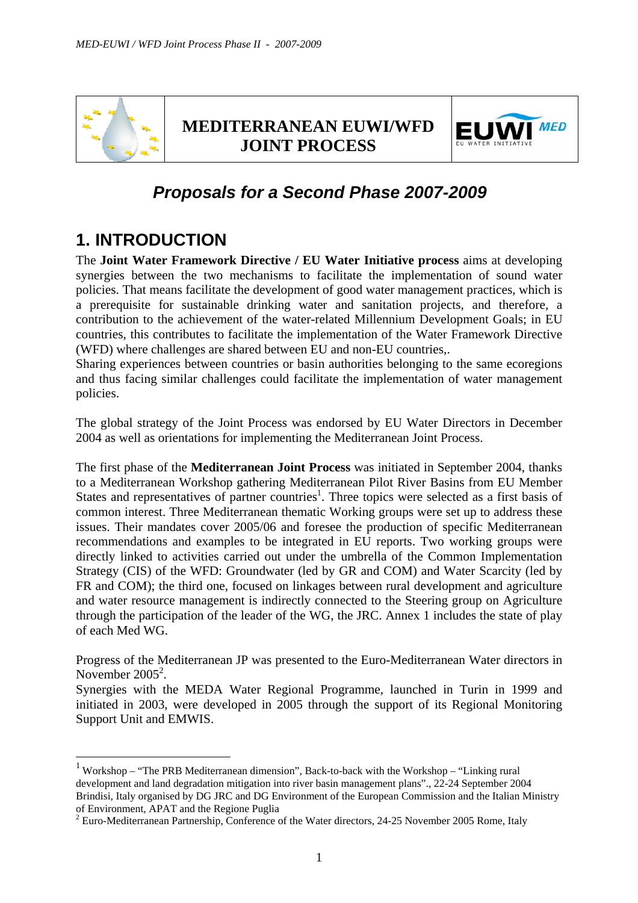

<u>.</u>

### **MEDITERRANEAN EUWI/WFD JOINT PROCESS**



# *Proposals for a Second Phase 2007-2009*

### **1. INTRODUCTION**

The **Joint Water Framework Directive / EU Water Initiative process** aims at developing synergies between the two mechanisms to facilitate the implementation of sound water policies. That means facilitate the development of good water management practices, which is a prerequisite for sustainable drinking water and sanitation projects, and therefore, a contribution to the achievement of the water-related Millennium Development Goals; in EU countries, this contributes to facilitate the implementation of the Water Framework Directive (WFD) where challenges are shared between EU and non-EU countries,.

Sharing experiences between countries or basin authorities belonging to the same ecoregions and thus facing similar challenges could facilitate the implementation of water management policies.

The global strategy of the Joint Process was endorsed by EU Water Directors in December 2004 as well as orientations for implementing the Mediterranean Joint Process.

The first phase of the **Mediterranean Joint Process** was initiated in September 2004, thanks to a Mediterranean Workshop gathering Mediterranean Pilot River Basins from EU Member States and representatives of partner countries<sup>1</sup>. Three topics were selected as a first basis of common interest. Three Mediterranean thematic Working groups were set up to address these issues. Their mandates cover 2005/06 and foresee the production of specific Mediterranean recommendations and examples to be integrated in EU reports. Two working groups were directly linked to activities carried out under the umbrella of the Common Implementation Strategy (CIS) of the WFD: Groundwater (led by GR and COM) and Water Scarcity (led by FR and COM); the third one, focused on linkages between rural development and agriculture and water resource management is indirectly connected to the Steering group on Agriculture through the participation of the leader of the WG, the JRC. Annex 1 includes the state of play of each Med WG.

Progress of the Mediterranean JP was presented to the Euro-Mediterranean Water directors in November  $2005^2$ .

Synergies with the MEDA Water Regional Programme, launched in Turin in 1999 and initiated in 2003, were developed in 2005 through the support of its Regional Monitoring Support Unit and EMWIS.

<sup>&</sup>lt;sup>1</sup> Workshop – "The PRB Mediterranean dimension", Back-to-back with the Workshop – "Linking rural" development and land degradation mitigation into river basin management plans"., 22-24 September 2004 Brindisi, Italy organised by DG JRC and DG Environment of the European Commission and the Italian Ministry of Environment, APAT and the Regione Puglia <sup>2</sup>

 $2$  Euro-Mediterranean Partnership, Conference of the Water directors, 24-25 November 2005 Rome, Italy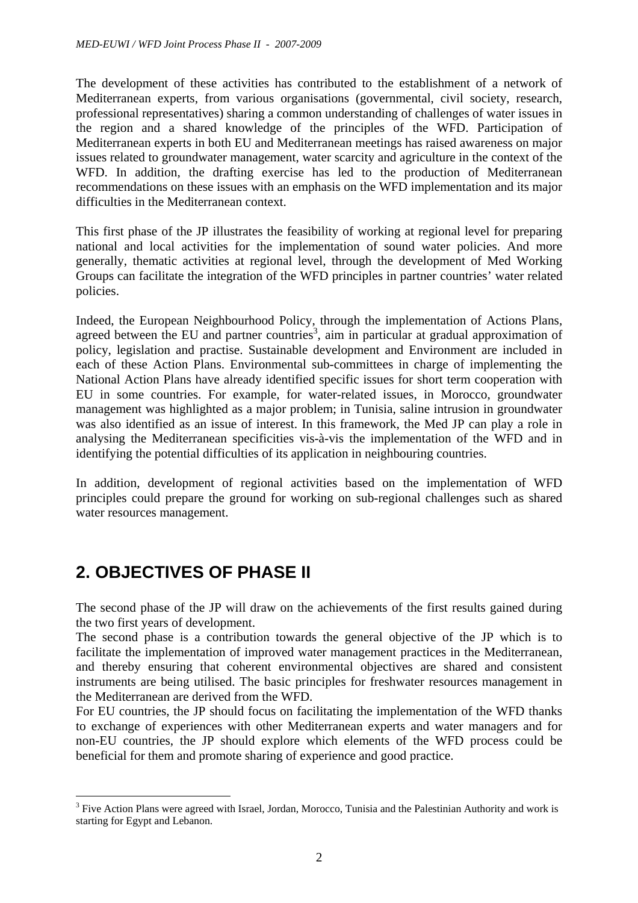The development of these activities has contributed to the establishment of a network of Mediterranean experts, from various organisations (governmental, civil society, research, professional representatives) sharing a common understanding of challenges of water issues in the region and a shared knowledge of the principles of the WFD. Participation of Mediterranean experts in both EU and Mediterranean meetings has raised awareness on major issues related to groundwater management, water scarcity and agriculture in the context of the WFD. In addition, the drafting exercise has led to the production of Mediterranean recommendations on these issues with an emphasis on the WFD implementation and its major difficulties in the Mediterranean context.

This first phase of the JP illustrates the feasibility of working at regional level for preparing national and local activities for the implementation of sound water policies. And more generally, thematic activities at regional level, through the development of Med Working Groups can facilitate the integration of the WFD principles in partner countries' water related policies.

Indeed, the European Neighbourhood Policy, through the implementation of Actions Plans, agreed between the EU and partner countries<sup>3</sup>, aim in particular at gradual approximation of policy, legislation and practise. Sustainable development and Environment are included in each of these Action Plans. Environmental sub-committees in charge of implementing the National Action Plans have already identified specific issues for short term cooperation with EU in some countries. For example, for water-related issues, in Morocco, groundwater management was highlighted as a major problem; in Tunisia, saline intrusion in groundwater was also identified as an issue of interest. In this framework, the Med JP can play a role in analysing the Mediterranean specificities vis-à-vis the implementation of the WFD and in identifying the potential difficulties of its application in neighbouring countries.

In addition, development of regional activities based on the implementation of WFD principles could prepare the ground for working on sub-regional challenges such as shared water resources management.

## **2. OBJECTIVES OF PHASE II**

 $\overline{\phantom{a}}$ 

The second phase of the JP will draw on the achievements of the first results gained during the two first years of development.

The second phase is a contribution towards the general objective of the JP which is to facilitate the implementation of improved water management practices in the Mediterranean, and thereby ensuring that coherent environmental objectives are shared and consistent instruments are being utilised. The basic principles for freshwater resources management in the Mediterranean are derived from the WFD.

For EU countries, the JP should focus on facilitating the implementation of the WFD thanks to exchange of experiences with other Mediterranean experts and water managers and for non-EU countries, the JP should explore which elements of the WFD process could be beneficial for them and promote sharing of experience and good practice.

 $3$  Five Action Plans were agreed with Israel, Jordan, Morocco, Tunisia and the Palestinian Authority and work is starting for Egypt and Lebanon.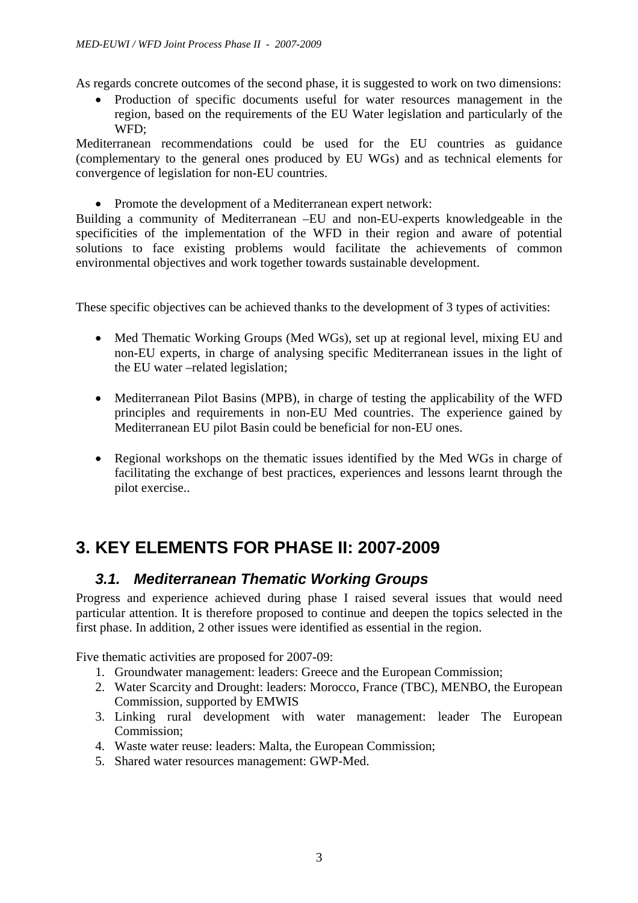As regards concrete outcomes of the second phase, it is suggested to work on two dimensions:

• Production of specific documents useful for water resources management in the region, based on the requirements of the EU Water legislation and particularly of the WFD;

Mediterranean recommendations could be used for the EU countries as guidance (complementary to the general ones produced by EU WGs) and as technical elements for convergence of legislation for non-EU countries.

• Promote the development of a Mediterranean expert network:

Building a community of Mediterranean –EU and non-EU-experts knowledgeable in the specificities of the implementation of the WFD in their region and aware of potential solutions to face existing problems would facilitate the achievements of common environmental objectives and work together towards sustainable development.

These specific objectives can be achieved thanks to the development of 3 types of activities:

- Med Thematic Working Groups (Med WGs), set up at regional level, mixing EU and non-EU experts, in charge of analysing specific Mediterranean issues in the light of the EU water –related legislation;
- Mediterranean Pilot Basins (MPB), in charge of testing the applicability of the WFD principles and requirements in non-EU Med countries. The experience gained by Mediterranean EU pilot Basin could be beneficial for non-EU ones.
- Regional workshops on the thematic issues identified by the Med WGs in charge of facilitating the exchange of best practices, experiences and lessons learnt through the pilot exercise..

## **3. KEY ELEMENTS FOR PHASE II: 2007-2009**

### *3.1. Mediterranean Thematic Working Groups*

Progress and experience achieved during phase I raised several issues that would need particular attention. It is therefore proposed to continue and deepen the topics selected in the first phase. In addition, 2 other issues were identified as essential in the region.

Five thematic activities are proposed for 2007-09:

- 1. Groundwater management: leaders: Greece and the European Commission;
- 2. Water Scarcity and Drought: leaders: Morocco, France (TBC), MENBO, the European Commission, supported by EMWIS
- 3. Linking rural development with water management: leader The European Commission;
- 4. Waste water reuse: leaders: Malta, the European Commission;
- 5. Shared water resources management: GWP-Med.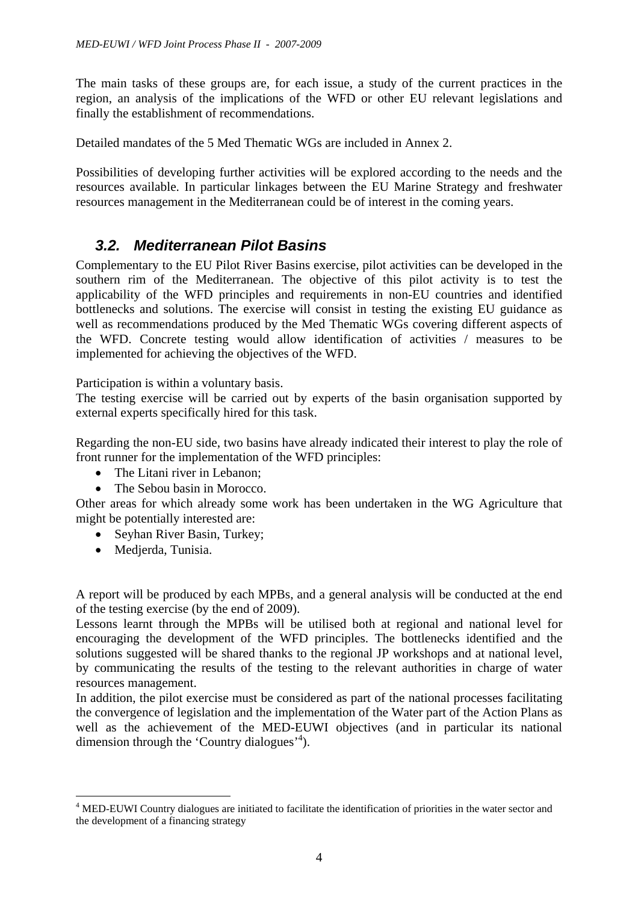The main tasks of these groups are, for each issue, a study of the current practices in the region, an analysis of the implications of the WFD or other EU relevant legislations and finally the establishment of recommendations.

Detailed mandates of the 5 Med Thematic WGs are included in Annex 2.

Possibilities of developing further activities will be explored according to the needs and the resources available. In particular linkages between the EU Marine Strategy and freshwater resources management in the Mediterranean could be of interest in the coming years.

#### *3.2. Mediterranean Pilot Basins*

Complementary to the EU Pilot River Basins exercise, pilot activities can be developed in the southern rim of the Mediterranean. The objective of this pilot activity is to test the applicability of the WFD principles and requirements in non-EU countries and identified bottlenecks and solutions. The exercise will consist in testing the existing EU guidance as well as recommendations produced by the Med Thematic WGs covering different aspects of the WFD. Concrete testing would allow identification of activities / measures to be implemented for achieving the objectives of the WFD.

Participation is within a voluntary basis.

The testing exercise will be carried out by experts of the basin organisation supported by external experts specifically hired for this task.

Regarding the non-EU side, two basins have already indicated their interest to play the role of front runner for the implementation of the WFD principles:

- The Litani river in Lebanon:
- The Sebou basin in Morocco.

Other areas for which already some work has been undertaken in the WG Agriculture that might be potentially interested are:

- Seyhan River Basin, Turkey;
- Medjerda, Tunisia.

1

A report will be produced by each MPBs, and a general analysis will be conducted at the end of the testing exercise (by the end of 2009).

Lessons learnt through the MPBs will be utilised both at regional and national level for encouraging the development of the WFD principles. The bottlenecks identified and the solutions suggested will be shared thanks to the regional JP workshops and at national level, by communicating the results of the testing to the relevant authorities in charge of water resources management.

In addition, the pilot exercise must be considered as part of the national processes facilitating the convergence of legislation and the implementation of the Water part of the Action Plans as well as the achievement of the MED-EUWI objectives (and in particular its national dimension through the 'Country dialogues'<sup>4</sup>).

<sup>&</sup>lt;sup>4</sup> MED-EUWI Country dialogues are initiated to facilitate the identification of priorities in the water sector and the development of a financing strategy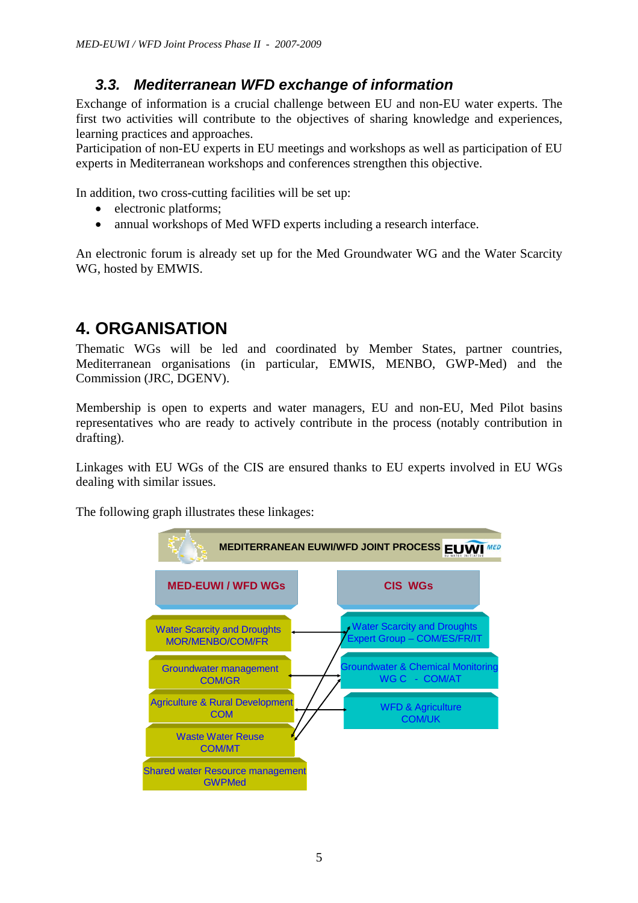### *3.3. Mediterranean WFD exchange of information*

Exchange of information is a crucial challenge between EU and non-EU water experts. The first two activities will contribute to the objectives of sharing knowledge and experiences, learning practices and approaches.

Participation of non-EU experts in EU meetings and workshops as well as participation of EU experts in Mediterranean workshops and conferences strengthen this objective.

In addition, two cross-cutting facilities will be set up:

- electronic platforms;
- annual workshops of Med WFD experts including a research interface.

An electronic forum is already set up for the Med Groundwater WG and the Water Scarcity WG, hosted by EMWIS.

## **4. ORGANISATION**

Thematic WGs will be led and coordinated by Member States, partner countries, Mediterranean organisations (in particular, EMWIS, MENBO, GWP-Med) and the Commission (JRC, DGENV).

Membership is open to experts and water managers, EU and non-EU, Med Pilot basins representatives who are ready to actively contribute in the process (notably contribution in drafting).

Linkages with EU WGs of the CIS are ensured thanks to EU experts involved in EU WGs dealing with similar issues.

The following graph illustrates these linkages:

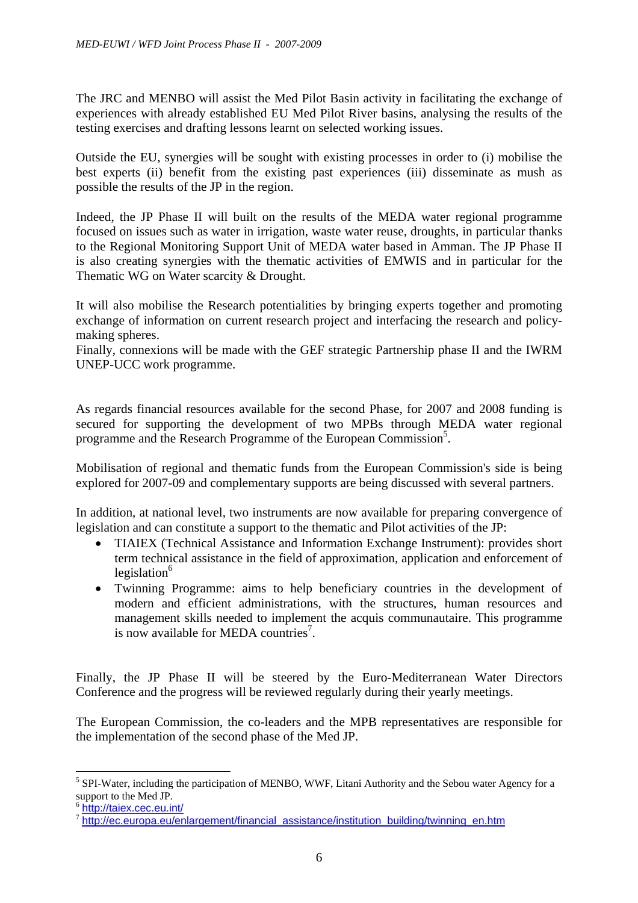The JRC and MENBO will assist the Med Pilot Basin activity in facilitating the exchange of experiences with already established EU Med Pilot River basins, analysing the results of the testing exercises and drafting lessons learnt on selected working issues.

Outside the EU, synergies will be sought with existing processes in order to (i) mobilise the best experts (ii) benefit from the existing past experiences (iii) disseminate as mush as possible the results of the JP in the region.

Indeed, the JP Phase II will built on the results of the MEDA water regional programme focused on issues such as water in irrigation, waste water reuse, droughts, in particular thanks to the Regional Monitoring Support Unit of MEDA water based in Amman. The JP Phase II is also creating synergies with the thematic activities of EMWIS and in particular for the Thematic WG on Water scarcity & Drought.

It will also mobilise the Research potentialities by bringing experts together and promoting exchange of information on current research project and interfacing the research and policymaking spheres.

Finally, connexions will be made with the GEF strategic Partnership phase II and the IWRM UNEP-UCC work programme.

As regards financial resources available for the second Phase, for 2007 and 2008 funding is secured for supporting the development of two MPBs through MEDA water regional programme and the Research Programme of the European Commission<sup>5</sup>.

Mobilisation of regional and thematic funds from the European Commission's side is being explored for 2007-09 and complementary supports are being discussed with several partners.

In addition, at national level, two instruments are now available for preparing convergence of legislation and can constitute a support to the thematic and Pilot activities of the JP:

- TIAIEX (Technical Assistance and Information Exchange Instrument): provides short term technical assistance in the field of approximation, application and enforcement of legislation $<sup>6</sup>$ </sup>
- Twinning Programme: aims to help beneficiary countries in the development of modern and efficient administrations, with the structures, human resources and management skills needed to implement the acquis communautaire. This programme is now available for MEDA countries<sup>7</sup>.

Finally, the JP Phase II will be steered by the Euro-Mediterranean Water Directors Conference and the progress will be reviewed regularly during their yearly meetings.

The European Commission, the co-leaders and the MPB representatives are responsible for the implementation of the second phase of the Med JP.

1

<sup>&</sup>lt;sup>5</sup> SPI-Water, including the participation of MENBO, WWF, Litani Authority and the Sebou water Agency for a support to the Med JP.<br><sup>6</sup> http://taiex.cec.eu.int/<br><sup>7</sup> http://ec.europa.eu/enlargement/financial\_assistance/institution\_building/twinning\_en.htm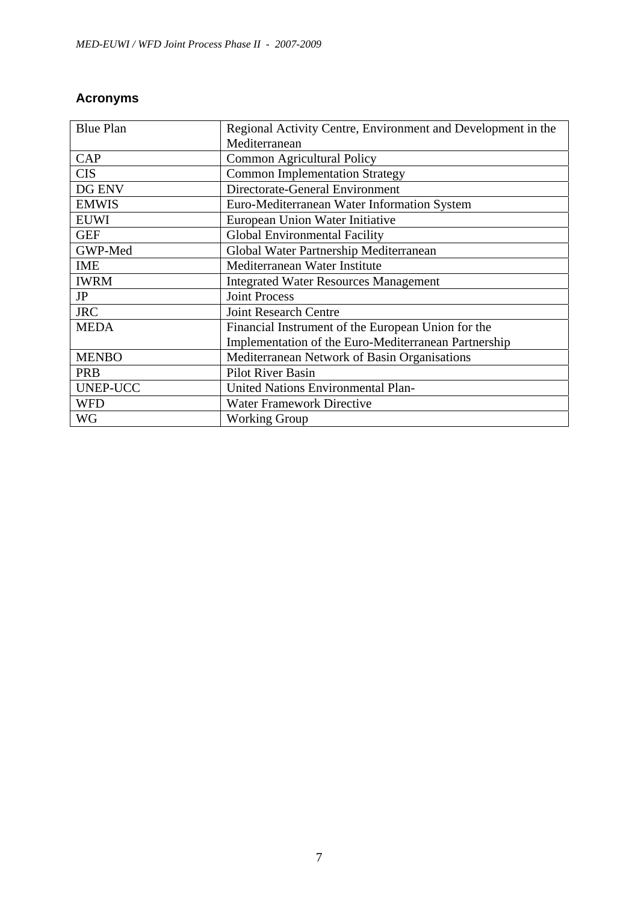#### **Acronyms**

| <b>Blue Plan</b> | Regional Activity Centre, Environment and Development in the |  |  |
|------------------|--------------------------------------------------------------|--|--|
|                  | Mediterranean                                                |  |  |
| <b>CAP</b>       | Common Agricultural Policy                                   |  |  |
| <b>CIS</b>       | <b>Common Implementation Strategy</b>                        |  |  |
| DG ENV           | Directorate-General Environment                              |  |  |
| <b>EMWIS</b>     | Euro-Mediterranean Water Information System                  |  |  |
| <b>EUWI</b>      | European Union Water Initiative                              |  |  |
| <b>GEF</b>       | <b>Global Environmental Facility</b>                         |  |  |
| GWP-Med          | Global Water Partnership Mediterranean                       |  |  |
| <b>IME</b>       | Mediterranean Water Institute                                |  |  |
| <b>IWRM</b>      | <b>Integrated Water Resources Management</b>                 |  |  |
| JP               | <b>Joint Process</b>                                         |  |  |
| <b>JRC</b>       | <b>Joint Research Centre</b>                                 |  |  |
| <b>MEDA</b>      | Financial Instrument of the European Union for the           |  |  |
|                  | Implementation of the Euro-Mediterranean Partnership         |  |  |
| <b>MENBO</b>     | Mediterranean Network of Basin Organisations                 |  |  |
| PRB              | <b>Pilot River Basin</b>                                     |  |  |
| <b>UNEP-UCC</b>  | <b>United Nations Environmental Plan-</b>                    |  |  |
| <b>WFD</b>       | Water Framework Directive                                    |  |  |
| <b>WG</b>        | <b>Working Group</b>                                         |  |  |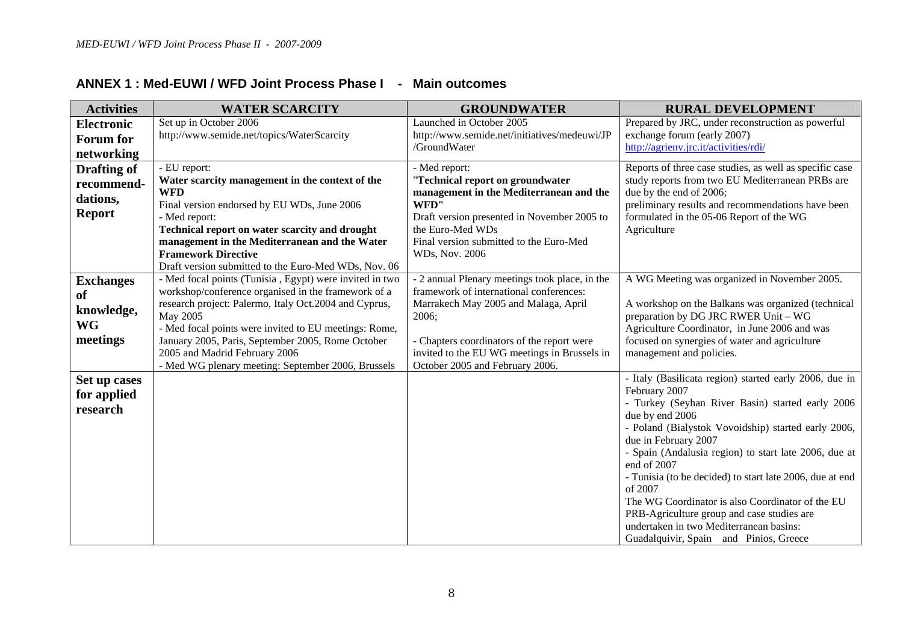| <b>Activities</b>  | <b>WATER SCARCITY</b>                                                                           | <b>GROUNDWATER</b>                                                                         | <b>RURAL DEVELOPMENT</b>                                                  |
|--------------------|-------------------------------------------------------------------------------------------------|--------------------------------------------------------------------------------------------|---------------------------------------------------------------------------|
| <b>Electronic</b>  | Set up in October 2006                                                                          | Launched in October 2005                                                                   | Prepared by JRC, under reconstruction as powerful                         |
| <b>Forum</b> for   | http://www.semide.net/topics/WaterScarcity                                                      | http://www.semide.net/initiatives/medeuwi/JP                                               | exchange forum (early 2007)                                               |
| networking         |                                                                                                 | /GroundWater                                                                               | http://agrienv.jrc.it/activities/rdi/                                     |
| <b>Drafting of</b> | - EU report:                                                                                    | - Med report:                                                                              | Reports of three case studies, as well as specific case                   |
| recommend-         | Water scarcity management in the context of the                                                 | "Technical report on groundwater                                                           | study reports from two EU Mediterranean PRBs are                          |
| dations,           | <b>WFD</b>                                                                                      | management in the Mediterranean and the                                                    | due by the end of 2006;                                                   |
| <b>Report</b>      | Final version endorsed by EU WDs, June 2006                                                     | WFD"                                                                                       | preliminary results and recommendations have been                         |
|                    | - Med report:                                                                                   | Draft version presented in November 2005 to<br>the Euro-Med WDs                            | formulated in the 05-06 Report of the WG<br>Agriculture                   |
|                    | Technical report on water scarcity and drought<br>management in the Mediterranean and the Water | Final version submitted to the Euro-Med                                                    |                                                                           |
|                    | <b>Framework Directive</b>                                                                      | <b>WDs, Nov. 2006</b>                                                                      |                                                                           |
|                    | Draft version submitted to the Euro-Med WDs, Nov. 06                                            |                                                                                            |                                                                           |
| <b>Exchanges</b>   | - Med focal points (Tunisia, Egypt) were invited in two                                         | - 2 annual Plenary meetings took place, in the                                             | A WG Meeting was organized in November 2005.                              |
| <b>of</b>          | workshop/conference organised in the framework of a                                             | framework of international conferences:                                                    |                                                                           |
| knowledge,         | research project: Palermo, Italy Oct.2004 and Cyprus,                                           | Marrakech May 2005 and Malaga, April                                                       | A workshop on the Balkans was organized (technical                        |
| <b>WG</b>          | May 2005                                                                                        | 2006;                                                                                      | preparation by DG JRC RWER Unit - WG                                      |
|                    | - Med focal points were invited to EU meetings: Rome,                                           |                                                                                            | Agriculture Coordinator, in June 2006 and was                             |
| meetings           | January 2005, Paris, September 2005, Rome October<br>2005 and Madrid February 2006              | - Chapters coordinators of the report were<br>invited to the EU WG meetings in Brussels in | focused on synergies of water and agriculture<br>management and policies. |
|                    | - Med WG plenary meeting: September 2006, Brussels                                              | October 2005 and February 2006.                                                            |                                                                           |
| Set up cases       |                                                                                                 |                                                                                            | - Italy (Basilicata region) started early 2006, due in                    |
| for applied        |                                                                                                 |                                                                                            | February 2007                                                             |
| research           |                                                                                                 |                                                                                            | - Turkey (Seyhan River Basin) started early 2006                          |
|                    |                                                                                                 |                                                                                            | due by end 2006                                                           |
|                    |                                                                                                 |                                                                                            | - Poland (Bialystok Vovoidship) started early 2006,                       |
|                    |                                                                                                 |                                                                                            | due in February 2007                                                      |
|                    |                                                                                                 |                                                                                            | - Spain (Andalusia region) to start late 2006, due at<br>end of 2007      |
|                    |                                                                                                 |                                                                                            | - Tunisia (to be decided) to start late 2006, due at end                  |
|                    |                                                                                                 |                                                                                            | of 2007                                                                   |
|                    |                                                                                                 |                                                                                            | The WG Coordinator is also Coordinator of the EU                          |
|                    |                                                                                                 |                                                                                            | PRB-Agriculture group and case studies are                                |
|                    |                                                                                                 |                                                                                            | undertaken in two Mediterranean basins:                                   |
|                    |                                                                                                 |                                                                                            | Guadalquivir, Spain and Pinios, Greece                                    |

#### **ANNEX 1 : Med-EUWI / WFD Joint Process Phase I - Main outcomes**